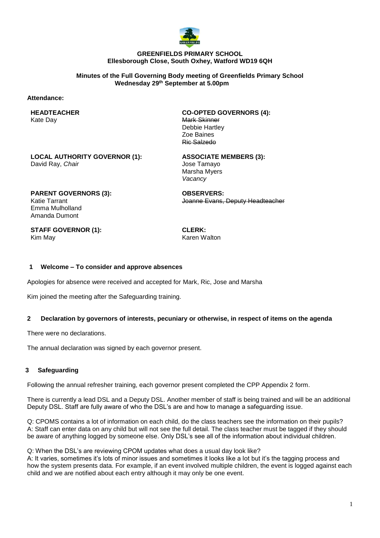

#### **GREENFIELDS PRIMARY SCHOOL Ellesborough Close, South Oxhey, Watford WD19 6QH**

**Minutes of the Full Governing Body meeting of Greenfields Primary School Wednesday 29th September at 5.00pm**

#### **Attendance:**

**HEADTEACHER** Kate Day

**CO-OPTED GOVERNORS (4):** Mark Skinner Debbie Hartley Zoe Baines Ric Salzedo

**LOCAL AUTHORITY GOVERNOR (1):** David Ray, *Chair*

**ASSOCIATE MEMBERS (3):** Jose Tamayo Marsha Myers *Vacancy*

**PARENT GOVERNORS (3):** Katie Tarrant Emma Mulholland Amanda Dumont

Joanne Evans, Deputy Headteacher

**STAFF GOVERNOR (1):** Kim May

**CLERK:** Karen Walton

**OBSERVERS:**

#### **1 Welcome – To consider and approve absences**

Apologies for absence were received and accepted for Mark, Ric, Jose and Marsha

Kim joined the meeting after the Safeguarding training.

### **2 Declaration by governors of interests, pecuniary or otherwise, in respect of items on the agenda**

There were no declarations.

The annual declaration was signed by each governor present.

#### **3 Safeguarding**

Following the annual refresher training, each governor present completed the CPP Appendix 2 form.

There is currently a lead DSL and a Deputy DSL. Another member of staff is being trained and will be an additional Deputy DSL. Staff are fully aware of who the DSL's are and how to manage a safeguarding issue.

Q: CPOMS contains a lot of information on each child, do the class teachers see the information on their pupils? A: Staff can enter data on any child but will not see the full detail. The class teacher must be tagged if they should be aware of anything logged by someone else. Only DSL's see all of the information about individual children.

Q: When the DSL's are reviewing CPOM updates what does a usual day look like?

A: It varies, sometimes it's lots of minor issues and sometimes it looks like a lot but it's the tagging process and how the system presents data. For example, if an event involved multiple children, the event is logged against each child and we are notified about each entry although it may only be one event.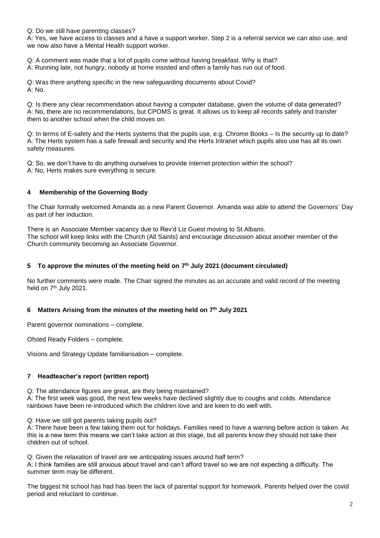Q: Do we still have parenting classes?

A: Yes, we have access to classes and a have a support worker. Step 2 is a referral service we can also use, and we now also have a Mental Health support worker.

Q: A comment was made that a lot of pupils come without having breakfast. Why is that?

A: Running late, not hungry, nobody at home insisted and often a family has run out of food.

Q: Was there anything specific in the new safeguarding documents about Covid? A: No.

Q: Is there any clear recommendation about having a computer database, given the volume of data generated? A: No, there are no recommendations, but CPOMS is great. It allows us to keep all records safely and transfer them to another school when the child moves on.

Q: In terms of E-safety and the Herts systems that the pupils use, e.g. Chrome Books – Is the security up to date? A: The Herts system has a safe firewall and security and the Herts Intranet which pupils also use has all its own safety measures.

Q: So, we don't have to do anything ourselves to provide internet protection within the school? A: No, Herts makes sure everything is secure.

## **4 Membership of the Governing Body**

The Chair formally welcomed Amanda as a new Parent Governor. Amanda was able to attend the Governors' Day as part of her induction.

There is an Associate Member vacancy due to Rev'd Liz Guest moving to St Albans. The school will keep links with the Church (All Saints) and encourage discussion about another member of the Church community becoming an Associate Governor.

## **5 To approve the minutes of the meeting held on 7 th July 2021 (document circulated)**

No further comments were made. The Chair signed the minutes as an accurate and valid record of the meeting held on 7<sup>th</sup> July 2021.

## **6 Matters Arising from the minutes of the meeting held on 7 th July 2021**

Parent governor nominations – complete.

Ofsted Ready Folders – complete.

Visions and Strategy Update familiarisation – complete.

## **7 Headteacher's report (written report)**

Q: The attendance figures are great, are they being maintained?

A: The first week was good, the next few weeks have declined slightly due to coughs and colds. Attendance rainbows have been re-introduced which the children love and are keen to do well with.

Q: Have we still got parents taking pupils out?

A: There have been a few taking them out for holidays. Families need to have a warning before action is taken. As this is a new term this means we can't take action at this stage, but all parents know they should not take their children out of school.

Q: Given the relaxation of travel are we anticipating issues around half term?

A: I think families are still anxious about travel and can't afford travel so we are not expecting a difficulty. The summer term may be different.

The biggest hit school has had has been the lack of parental support for homework. Parents helped over the covid period and reluctant to continue.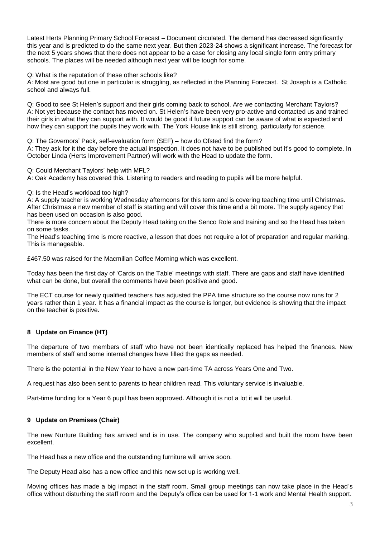Latest Herts Planning Primary School Forecast – Document circulated. The demand has decreased significantly this year and is predicted to do the same next year. But then 2023-24 shows a significant increase. The forecast for the next 5 years shows that there does not appear to be a case for closing any local single form entry primary schools. The places will be needed although next year will be tough for some.

Q: What is the reputation of these other schools like?

A: Most are good but one in particular is struggling, as reflected in the Planning Forecast. St Joseph is a Catholic school and always full.

Q: Good to see St Helen's support and their girls coming back to school. Are we contacting Merchant Taylors? A: Not yet because the contact has moved on. St Helen's have been very pro-active and contacted us and trained their girls in what they can support with. It would be good if future support can be aware of what is expected and how they can support the pupils they work with. The York House link is still strong, particularly for science.

Q: The Governors' Pack, self-evaluation form (SEF) – how do Ofsted find the form?

A: They ask for it the day before the actual inspection. It does not have to be published but it's good to complete. In October Linda (Herts Improvement Partner) will work with the Head to update the form.

Q: Could Merchant Taylors' help with MFL?

A: Oak Academy has covered this. Listening to readers and reading to pupils will be more helpful.

### Q: Is the Head's workload too high?

A: A supply teacher is working Wednesday afternoons for this term and is covering teaching time until Christmas. After Christmas a new member of staff is starting and will cover this time and a bit more. The supply agency that has been used on occasion is also good.

There is more concern about the Deputy Head taking on the Senco Role and training and so the Head has taken on some tasks.

The Head's teaching time is more reactive, a lesson that does not require a lot of preparation and regular marking. This is manageable.

£467.50 was raised for the Macmillan Coffee Morning which was excellent.

Today has been the first day of 'Cards on the Table' meetings with staff. There are gaps and staff have identified what can be done, but overall the comments have been positive and good.

The ECT course for newly qualified teachers has adjusted the PPA time structure so the course now runs for 2 years rather than 1 year. It has a financial impact as the course is longer, but evidence is showing that the impact on the teacher is positive.

## **8 Update on Finance (HT)**

The departure of two members of staff who have not been identically replaced has helped the finances. New members of staff and some internal changes have filled the gaps as needed.

There is the potential in the New Year to have a new part-time TA across Years One and Two.

A request has also been sent to parents to hear children read. This voluntary service is invaluable.

Part-time funding for a Year 6 pupil has been approved. Although it is not a lot it will be useful.

## **9 Update on Premises (Chair)**

The new Nurture Building has arrived and is in use. The company who supplied and built the room have been excellent.

The Head has a new office and the outstanding furniture will arrive soon.

The Deputy Head also has a new office and this new set up is working well.

Moving offices has made a big impact in the staff room. Small group meetings can now take place in the Head's office without disturbing the staff room and the Deputy's office can be used for 1-1 work and Mental Health support.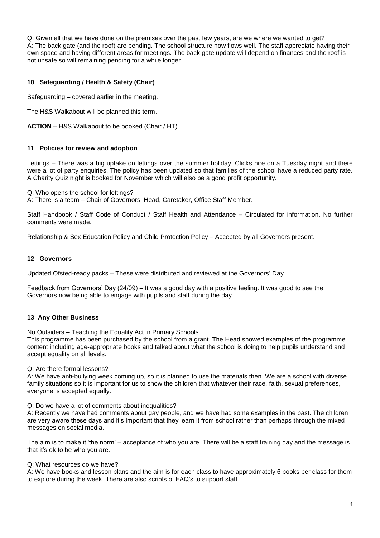Q: Given all that we have done on the premises over the past few years, are we where we wanted to get? A: The back gate (and the roof) are pending. The school structure now flows well. The staff appreciate having their own space and having different areas for meetings. The back gate update will depend on finances and the roof is not unsafe so will remaining pending for a while longer.

## **10 Safeguarding / Health & Safety (Chair)**

Safeguarding – covered earlier in the meeting.

The H&S Walkabout will be planned this term.

**ACTION** – H&S Walkabout to be booked (Chair / HT)

### **11 Policies for review and adoption**

Lettings – There was a big uptake on lettings over the summer holiday. Clicks hire on a Tuesday night and there were a lot of party enquiries. The policy has been updated so that families of the school have a reduced party rate. A Charity Quiz night is booked for November which will also be a good profit opportunity.

Q: Who opens the school for lettings?

A: There is a team – Chair of Governors, Head, Caretaker, Office Staff Member.

Staff Handbook / Staff Code of Conduct / Staff Health and Attendance – Circulated for information. No further comments were made.

Relationship & Sex Education Policy and Child Protection Policy – Accepted by all Governors present.

#### **12 Governors**

Updated Ofsted-ready packs – These were distributed and reviewed at the Governors' Day.

Feedback from Governors' Day (24/09) – It was a good day with a positive feeling. It was good to see the Governors now being able to engage with pupils and staff during the day.

## **13 Any Other Business**

No Outsiders – Teaching the Equality Act in Primary Schools.

This programme has been purchased by the school from a grant. The Head showed examples of the programme content including age-appropriate books and talked about what the school is doing to help pupils understand and accept equality on all levels.

#### Q: Are there formal lessons?

A: We have anti-bullying week coming up, so it is planned to use the materials then. We are a school with diverse family situations so it is important for us to show the children that whatever their race, faith, sexual preferences, everyone is accepted equally.

Q: Do we have a lot of comments about inequalities?

A: Recently we have had comments about gay people, and we have had some examples in the past. The children are very aware these days and it's important that they learn it from school rather than perhaps through the mixed messages on social media.

The aim is to make it 'the norm' – acceptance of who you are. There will be a staff training day and the message is that it's ok to be who you are.

#### Q: What resources do we have?

A: We have books and lesson plans and the aim is for each class to have approximately 6 books per class for them to explore during the week. There are also scripts of FAQ's to support staff.